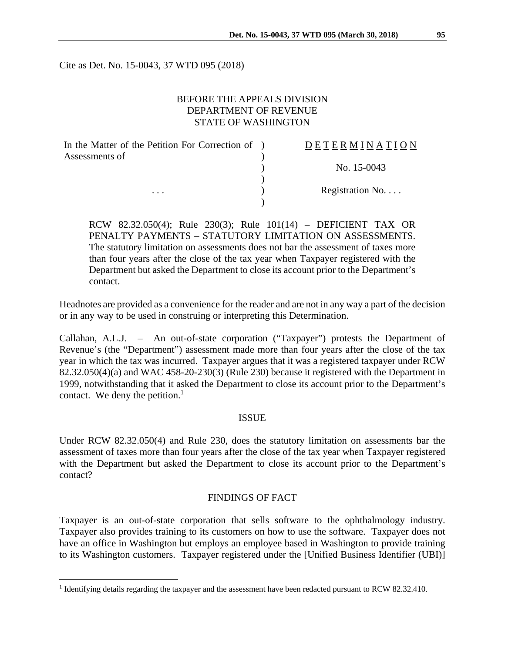Cite as Det. No. 15-0043, 37 WTD 095 (2018)

## BEFORE THE APPEALS DIVISION DEPARTMENT OF REVENUE STATE OF WASHINGTON

| In the Matter of the Petition For Correction of ) | DETERMINATION             |
|---------------------------------------------------|---------------------------|
| Assessments of<br>$\cdots$                        |                           |
|                                                   | No. 15-0043               |
|                                                   |                           |
|                                                   | Registration $No. \ldots$ |
|                                                   |                           |

RCW 82.32.050(4); Rule 230(3); Rule 101(14) – DEFICIENT TAX OR PENALTY PAYMENTS – STATUTORY LIMITATION ON ASSESSMENTS. The statutory limitation on assessments does not bar the assessment of taxes more than four years after the close of the tax year when Taxpayer registered with the Department but asked the Department to close its account prior to the Department's contact.

Headnotes are provided as a convenience for the reader and are not in any way a part of the decision or in any way to be used in construing or interpreting this Determination.

Callahan, A.L.J. – An out-of-state corporation ("Taxpayer") protests the Department of Revenue's (the "Department") assessment made more than four years after the close of the tax year in which the tax was incurred. Taxpayer argues that it was a registered taxpayer under RCW 82.32.050(4)(a) and WAC 458-20-230(3) (Rule 230) because it registered with the Department in 1999, notwithstanding that it asked the Department to close its account prior to the Department's contact. We deny the petition. $<sup>1</sup>$ </sup>

#### ISSUE

Under RCW 82.32.050(4) and Rule 230, does the statutory limitation on assessments bar the assessment of taxes more than four years after the close of the tax year when Taxpayer registered with the Department but asked the Department to close its account prior to the Department's contact?

#### FINDINGS OF FACT

Taxpayer is an out-of-state corporation that sells software to the ophthalmology industry. Taxpayer also provides training to its customers on how to use the software. Taxpayer does not have an office in Washington but employs an employee based in Washington to provide training to its Washington customers. Taxpayer registered under the [Unified Business Identifier (UBI)]

 $\overline{a}$ 

<sup>&</sup>lt;sup>1</sup> Identifying details regarding the taxpayer and the assessment have been redacted pursuant to RCW 82.32.410.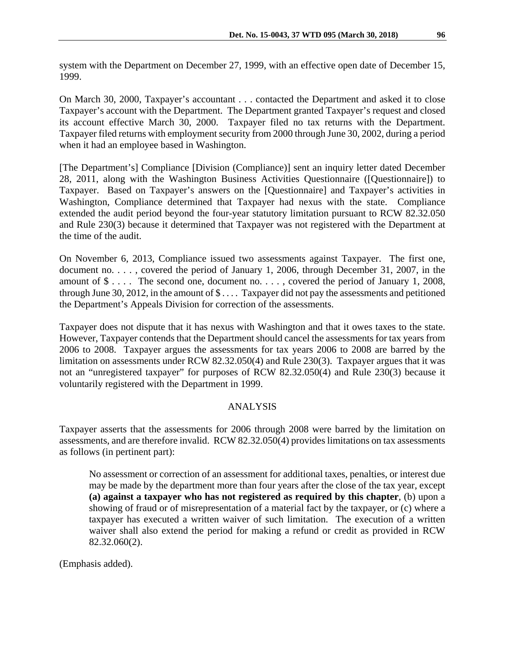system with the Department on December 27, 1999, with an effective open date of December 15, 1999.

On March 30, 2000, Taxpayer's accountant . . . contacted the Department and asked it to close Taxpayer's account with the Department. The Department granted Taxpayer's request and closed its account effective March 30, 2000. Taxpayer filed no tax returns with the Department. Taxpayer filed returns with employment security from 2000 through June 30, 2002, during a period when it had an employee based in Washington.

[The Department's] Compliance [Division (Compliance)] sent an inquiry letter dated December 28, 2011, along with the Washington Business Activities Questionnaire ([Questionnaire]) to Taxpayer. Based on Taxpayer's answers on the [Questionnaire] and Taxpayer's activities in Washington, Compliance determined that Taxpayer had nexus with the state. Compliance extended the audit period beyond the four-year statutory limitation pursuant to RCW 82.32.050 and Rule 230(3) because it determined that Taxpayer was not registered with the Department at the time of the audit.

On November 6, 2013, Compliance issued two assessments against Taxpayer. The first one, document no. . . . , covered the period of January 1, 2006, through December 31, 2007, in the amount of \$ . . . . The second one, document no. . . . , covered the period of January 1, 2008, through June 30, 2012, in the amount of \$ . . . . Taxpayer did not pay the assessments and petitioned the Department's Appeals Division for correction of the assessments.

Taxpayer does not dispute that it has nexus with Washington and that it owes taxes to the state. However, Taxpayer contends that the Department should cancel the assessments for tax years from 2006 to 2008. Taxpayer argues the assessments for tax years 2006 to 2008 are barred by the limitation on assessments under RCW 82.32.050(4) and Rule 230(3). Taxpayer argues that it was not an "unregistered taxpayer" for purposes of RCW 82.32.050(4) and Rule 230(3) because it voluntarily registered with the Department in 1999.

### ANALYSIS

Taxpayer asserts that the assessments for 2006 through 2008 were barred by the limitation on assessments, and are therefore invalid. RCW 82.32.050(4) provides limitations on tax assessments as follows (in pertinent part):

No assessment or correction of an assessment for additional taxes, penalties, or interest due may be made by the department more than four years after the close of the tax year, except **(a) against a taxpayer who has not registered as required by this chapter**, (b) upon a showing of fraud or of misrepresentation of a material fact by the taxpayer, or (c) where a taxpayer has executed a written waiver of such limitation. The execution of a written waiver shall also extend the period for making a refund or credit as provided in RCW 82.32.060(2).

(Emphasis added).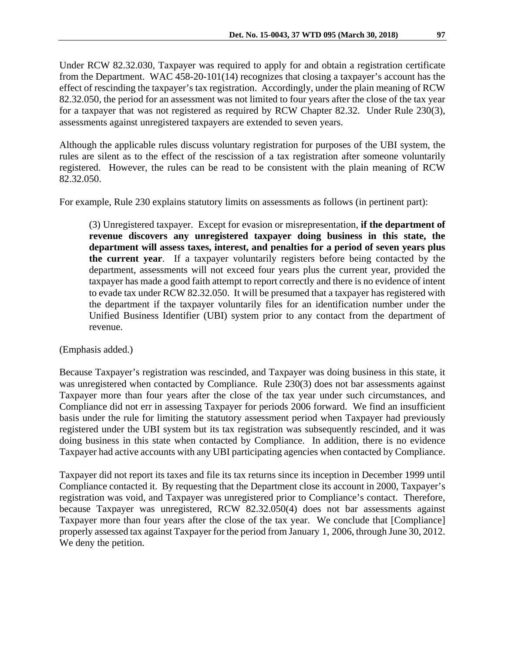Under RCW 82.32.030, Taxpayer was required to apply for and obtain a registration certificate from the Department. WAC 458-20-101(14) recognizes that closing a taxpayer's account has the effect of rescinding the taxpayer's tax registration. Accordingly, under the plain meaning of RCW 82.32.050, the period for an assessment was not limited to four years after the close of the tax year for a taxpayer that was not registered as required by RCW Chapter 82.32. Under Rule 230(3), assessments against unregistered taxpayers are extended to seven years.

Although the applicable rules discuss voluntary registration for purposes of the UBI system, the rules are silent as to the effect of the rescission of a tax registration after someone voluntarily registered. However, the rules can be read to be consistent with the plain meaning of RCW 82.32.050.

For example, Rule 230 explains statutory limits on assessments as follows (in pertinent part):

(3) Unregistered taxpayer. Except for evasion or misrepresentation, **if the department of revenue discovers any unregistered taxpayer doing business in this state, the department will assess taxes, interest, and penalties for a period of seven years plus the current year**. If a taxpayer voluntarily registers before being contacted by the department, assessments will not exceed four years plus the current year, provided the taxpayer has made a good faith attempt to report correctly and there is no evidence of intent to evade tax under RCW 82.32.050. It will be presumed that a taxpayer has registered with the department if the taxpayer voluntarily files for an identification number under the Unified Business Identifier (UBI) system prior to any contact from the department of revenue.

(Emphasis added.)

Because Taxpayer's registration was rescinded, and Taxpayer was doing business in this state, it was unregistered when contacted by Compliance. Rule 230(3) does not bar assessments against Taxpayer more than four years after the close of the tax year under such circumstances, and Compliance did not err in assessing Taxpayer for periods 2006 forward. We find an insufficient basis under the rule for limiting the statutory assessment period when Taxpayer had previously registered under the UBI system but its tax registration was subsequently rescinded, and it was doing business in this state when contacted by Compliance. In addition, there is no evidence Taxpayer had active accounts with any UBI participating agencies when contacted by Compliance.

Taxpayer did not report its taxes and file its tax returns since its inception in December 1999 until Compliance contacted it. By requesting that the Department close its account in 2000, Taxpayer's registration was void, and Taxpayer was unregistered prior to Compliance's contact. Therefore, because Taxpayer was unregistered, RCW 82.32.050(4) does not bar assessments against Taxpayer more than four years after the close of the tax year. We conclude that [Compliance] properly assessed tax against Taxpayer for the period from January 1, 2006, through June 30, 2012. We deny the petition.